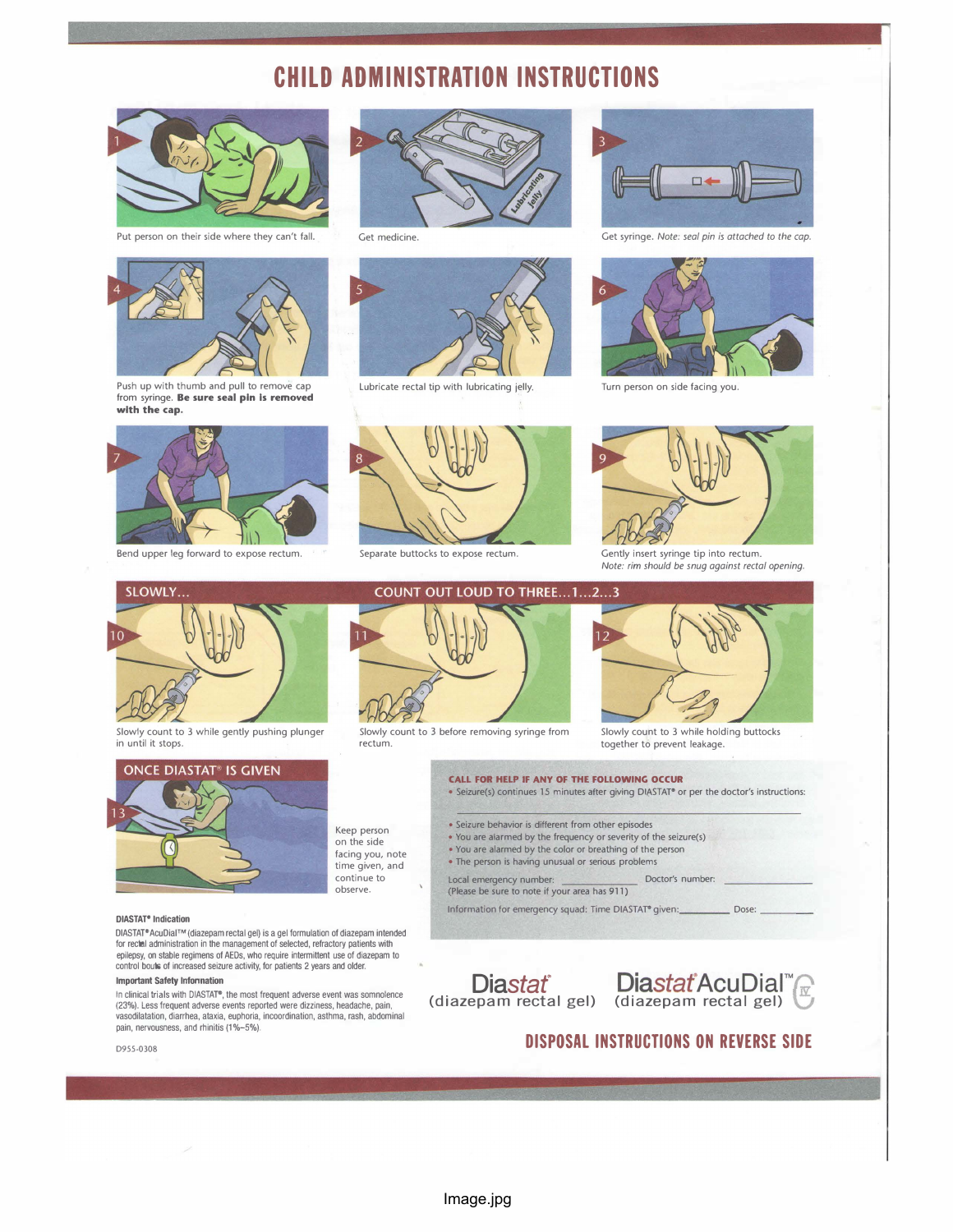# CHILD ADMINISTRATION INSTRUCTIONS



Put person on their side where they can't fall. Get medicine. Get syringe. Note: seal pin is attached to the cap.



Push up with thumb and pull to remove cap from syringe. Be sure seal pin is removed with the cap.





Lubricate rectal tip with lubricating jelly. Turn person on side facing you.







Bend upper leg forward to expose rectum. Separate buttocks to expose rectum. Gently insert syringe tip into rectum.





Note: rim should be snug against rectal opening.



in until it stops.



#### DIASTAT<sup>®</sup> Indication

DIASTAT" AcuDial™ (diazepam rectal gel) is a gel formulation of diazepam intended for rectal administration in the management of selected, refractory patients with epilepsy, on stable regimens of AEDs, who require intermittent use of diazepam to control bcuts of increased seizure activity, for patients 2 years and older.

#### Important Safety lnfonnation

In clinical trials with DIASTAT®, the most frequent adverse event was somnolence (23%). Less frequent adverse events reported were dizziness, headache, pain, vasodilatation, diarrhea, ataxia, euphoria, incoordination, asthma, rash, abdominal pain, nervousness, and rhinitis (1%-5%).





Slowly count to 3 before removing syringe from rectum.



Slowly count to 3 while holding buttocks together to prevent leakage.

#### CALL FOR HELP IF ANY OF THE FOLLOWING OCCUR

• Seizure(s) continues 15 minutes after giving DIASTAP or per the doctor's instructions:

- Seizure behavior is different from other episodes
- You are alarmed by the frequency or severity of the seizure(s)
- You are alarmed by the color or breathing of the person
- The person is having unusual or serious problems

Local emergency number: Doctor's number: (Please be sure to note if your area has 911)

Information for emergency squad: Time DIASTAT® given: \_\_\_\_\_\_\_\_\_\_\_\_\_ Dose:





# DISPOSAL INSTRUCTIONS ON REVERSE SIDE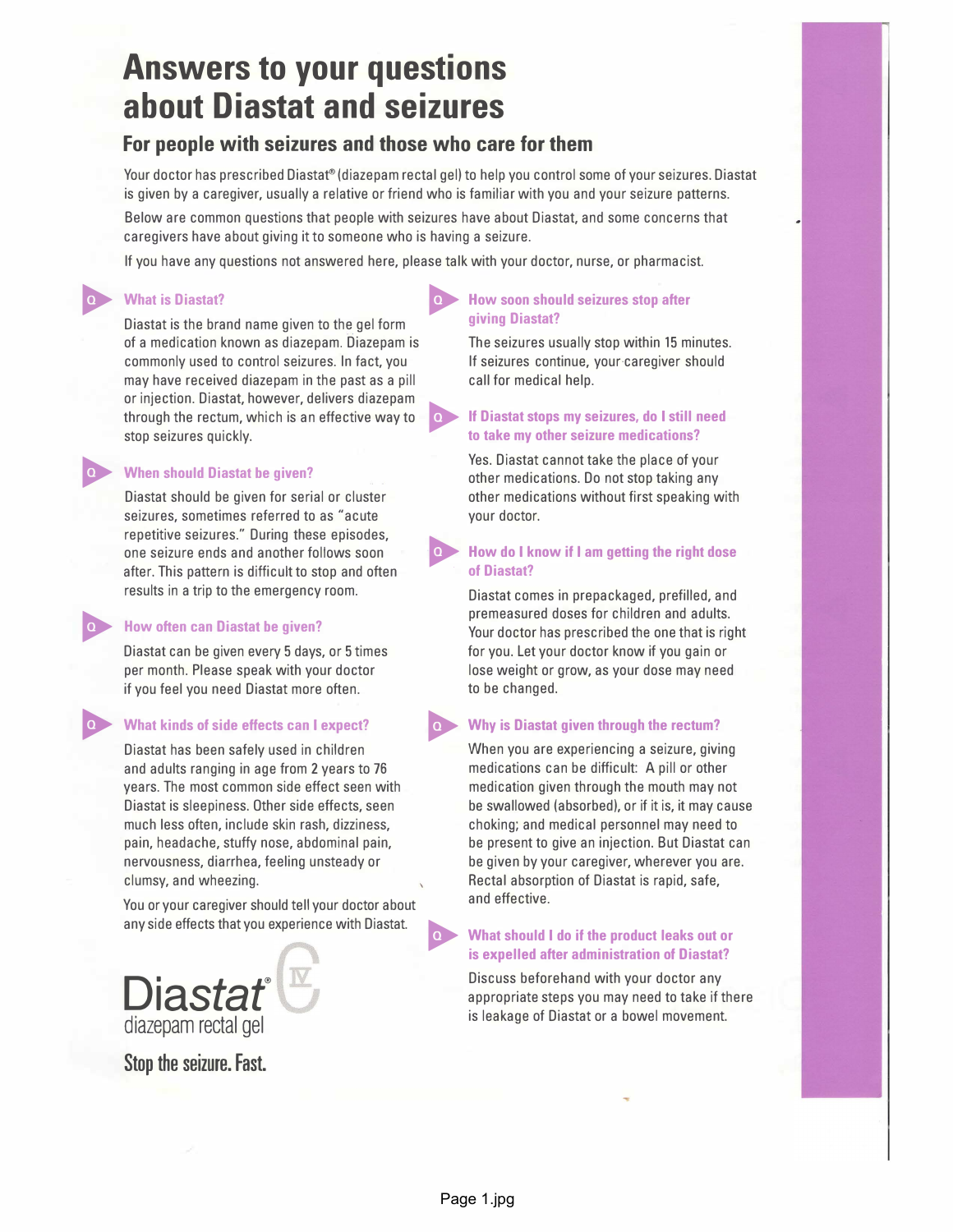# Answers to your questions about Diastat and seizures

# For people with seizures and those who care for them

Your doctor has prescribed Diastat® (diazepam rectal gel) to help you control some of your seizures. Diastat is given by a caregiver, usually a relative or friend who is familiar with you and your seizure patterns.

Below are common questions that people with seizures have about Diastat, and some concerns that caregivers have about giving it to someone who is having a seizure.

If you have any questions not answered here, please talk with your doctor, nurse, or pharmacist.

O

O

O

Diastat is the brand name given to the gel form of a medication known as diazepam. Diazepam is The seizures usually stop within 15 minutes. commonly used to control seizures. In fact, you If seizures continue, your caregiver should may have received diazepam in the past as a pill call for medical help. or injection. Diastat, however, delivers diazepam<br>through the rectum, which is an effective way to **If Diastat stops my seizures, do I still need**<br>to take my other seizure medications?

# When should Diastat be given?

seizures, sometimes referred to as "acute your doctor. repetitive seizures." During these episodes, after. This pattern is difficult to stop and often results in a trip to the emergency room. Diastat comes in prepackaged, prefilled, and

# O How often can Diastat be given?

Diastat can be given every 5 days, or 5 times for you. Let your doctor know if you gain or if you feel you need Diastat more often. The state of to be changed.

and adults ranging in age from 2 years to 76 medications can be difficult: A pill or other years. The most common side effect seen with medication given through the mouth may not much less often, include skin rash, dizziness, choking; and medical personnel may need to nervousness, diarrhea, feeling unsteady or be given by your caregiver, wherever you are. clumsy, and wheezing. Rectal absorption of Diastat is rapid, safe,

You or your caregiver should tell your doctor about and effective. any side effects that you experience with Diastat.  $\bullet$  What should I do if the product leaks out or

# diazepam rectal gel is leakage of Diastat or a bowel movement.

Stop the seizure. Fast.

# What is Diastat?<br>
Diastat is the brand name given to the sel form  $\overrightarrow{Q}$  How soon should seizures stop after<br>
qiving Diastat?

# to take my other seizure medications?

Yes. Diastat cannot take the place of your other medications. Do not stop taking any Diastat should be given for serial or cluster other medications without first speaking with

# one seizure ends and another follows soon **OV** How do I know if I am getting the right dose<br>after. This pattern is difficult to stop and often of Diastat?

premeasured doses for children and adults. Your doctor has prescribed the one that is right per month. Please speak with your doctor lose weight or grow, as your dose may need

# What kinds of side effects can I expect?  $\bullet$  Why is Diastat given through the rectum?

Diastat has been safely used in children When you are experiencing a seizure, giving Diastat is sleepiness. Other side effects, seen be swallowed (absorbed), or if it is, it may cause pain, headache, stuffy nose, abdominal pain, be present to give an injection. But Diastat can

# is expelled after administration of Diastat?

 $\mathbf{Discuss}$  biscuss beforehand with your doctor any appropriate steps you may need to take if the substitution of  $\mathbf{Discuss}$  beforehand with your doctor any appropriate steps you may need to take if there